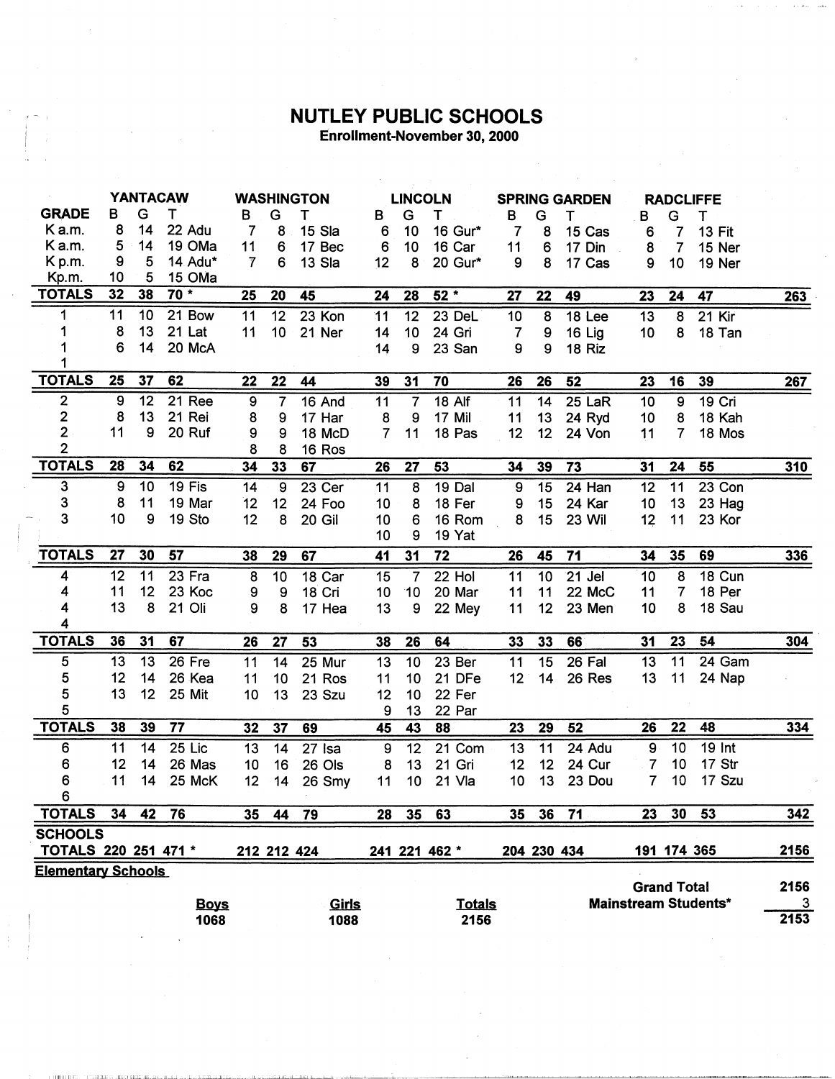## **NUTLEY PUBLIC SCHOOLS**<br>Enrollment-November 30, 2000

 $\hat{\boldsymbol{\beta}}$ 

|                           | <b>YANTACAW</b>  |    |             |                 | <b>WASHINGTON</b> |        |                  | <b>LINCOLN</b>  |                   |                | <b>SPRING GARDEN</b> |                 |                | <b>RADCLIFFE</b>   |                             |            |
|---------------------------|------------------|----|-------------|-----------------|-------------------|--------|------------------|-----------------|-------------------|----------------|----------------------|-----------------|----------------|--------------------|-----------------------------|------------|
| <b>GRADE</b>              | в                | G  | т           | B               | G                 | т      | в                | G               | т                 | В              | G                    | т               | В              | G                  | т                           |            |
| K a.m.                    | 8                | 14 | 22 Adu      | 7               | 8                 | 15 Sla | 6                | 10              | 16 Gur*           | 7              | 8                    | 15 Cas          | 6              | 7                  | <b>13 Fit</b>               |            |
| K a.m.                    | 5                | 14 | 19 OMa      | 11              | 6                 | 17 Bec | 6                | 10              | 16 Car            | 11             | $6\phantom{1}6$      | 17 Din          | 8              | $\overline{7}$     | 15 Ner                      |            |
| K p.m.                    | 9                | 5  | 14 Adu*     | $\overline{7}$  | 6                 | 13 Sla | 12               | 8               | 20 Gur*           | 9              | 8                    | 17 Cas          | 9              | 10                 | 19 Ner                      |            |
| Kp.m.                     | 10               | 5  | 15 OMa      |                 |                   |        |                  |                 |                   |                |                      |                 |                |                    |                             |            |
| <b>TOTALS</b>             | 32               | 38 | $70*$       | 25              | 20                | 45     | 24               | 28              | $52*$             | 27             | 22                   | 49              | 23             | 24                 | 47                          | 263        |
| 1                         | 11               | 10 | 21 Bow      | 11              | 12                | 23 Kon | 11               | 12              | 23 DeL            | 10             | 8                    | 18 Lee          | 13             | 8                  | $21$ Kir                    |            |
|                           | 8                | 13 | 21 Lat      | 11              | 10                | 21 Ner | 14               | 10              | 24 Gri            | $\overline{7}$ | 9                    | 16 Lig          | 10             | 8                  | 18 Tan                      |            |
|                           | 6                | 14 | 20 McA      |                 |                   |        | 14               | 9               | 23 San            | 9              | 9                    | 18 Riz          |                |                    |                             |            |
|                           |                  |    |             |                 |                   |        |                  |                 |                   |                |                      |                 |                |                    |                             |            |
| <b>TOTALS</b>             | 25               | 37 | 62          | 22              | 22                | 44     | 39               | 31              | 70                | 26             | 26                   | $\overline{52}$ | 23             | 16                 | 39                          | 267        |
| $\mathbf{2}$              | $\boldsymbol{9}$ | 12 | 21 Ree      | $\overline{9}$  | 7                 | 16 And | 11               | $\overline{7}$  | $18$ Alf          | 11             | 14                   | 25 LaR          | 10             | $\overline{9}$     | 19 Cri                      |            |
| $\overline{\mathbf{2}}$   | 8                | 13 | 21 Rei      | 8               | 9                 | 17 Har | 8                | 9               | 17 Mil            | 11             | 13                   | 24 Ryd          | 10             | 8                  | 18 Kah                      |            |
| $\overline{2}$            | 11               | 9  | 20 Ruf      | 9               | 9                 | 18 McD | $\overline{7}$   | 11              | 18 Pas            | 12             | 12                   | 24 Von          | 11             | $\overline{7}$     | 18 Mos                      |            |
| $\overline{2}$            |                  |    |             | 8               | 8                 | 16 Ros |                  |                 |                   |                |                      |                 |                |                    |                             |            |
| <b>TOTALS</b>             | 28               | 34 | 62          | 34              | 33                | 67     | 26               | 27              | 53                | 34             | 39                   | 73              | 31             | 24                 | 55                          | <b>310</b> |
| 3                         | 9                | 10 | 19 Fis      | 14              | 9                 | 23 Cer | 11               | $\overline{8}$  | $19$ Dal          | 9              | 15                   | 24 Han          | 12             | 11                 | 23 Con                      |            |
| 3                         | 8                | 11 | 19 Mar      | 12              | 12 <sub>2</sub>   | 24 Foo | 10               | 8               | 18 Fer            | 9              | 15                   | 24 Kar          | 10             | 13                 | 23 Hag                      |            |
| 3                         | 10               | 9  | 19 Sto      | 12              | 8                 | 20 Gil | 10               | 6               | 16 Rom            | 8              | 15                   | 23 Wil          | 12             | 11                 | 23 Kor                      |            |
|                           |                  |    |             |                 |                   |        | 10               | 9               | 19 Yat            |                |                      |                 |                |                    |                             |            |
| <b>TOTALS</b>             | 27               | 30 | 57          | 38              | 29                | 67     | 41               | 31              | 72                | 26             | 45                   | 71              | 34             | 35                 | 69                          | 336        |
| 4                         | 12               | 11 | 23 Fra      | 8               | 10                | 18 Car | 15               | $\overline{7}$  | 22 Hol            | 11             | 10                   | 21 Jel          | 10             | 8                  | 18 Cun                      |            |
| 4                         | 11               | 12 | 23 Koc      | 9               | 9                 | 18 Cri | 10               | 10              | 20 Mar            | 11             | 11                   | 22 McC          | 11             | $\overline{7}$     | 18 Per                      |            |
| 4                         | 13               | 8  | 21 Oli      | 9               | 8                 | 17 Hea | 13               | 9               | 22 Mey            | 11             | 12                   | 23 Men          | 10             | 8                  | 18 Sau                      |            |
| 4                         |                  |    |             |                 |                   |        |                  |                 |                   |                |                      |                 |                |                    |                             |            |
| <b>TOTALS</b>             | 36               | 31 | 67          | 26              | 27                | 53     | 38               | 26              | 64                | 33             | 33                   | 66              | 31             | 23                 | 54                          | 304        |
| 5                         | 13               | 13 | 26 Fre      | $\overline{11}$ | 14                | 25 Mur | $\overline{13}$  | $\overline{10}$ | 23 <sub>ber</sub> | 11             | $\overline{15}$      | 26 Fal          | 13             | 11                 | 24 Gam                      |            |
| 5                         | 12               | 14 | 26 Kea      | 11              | 10 <sub>1</sub>   | 21 Ros | 11               | 10              | 21 DFe            | 12             | 14                   | 26 Res          | 13             | 11                 | 24 Nap                      |            |
| 5                         | 13               | 12 | 25 Mit      | 10              | 13                | 23 Szu | 12               | 10              | 22 Fer            |                |                      |                 |                |                    |                             |            |
| 5                         |                  |    |             |                 |                   |        | 9                | 13              | 22 Par            |                |                      |                 |                |                    |                             |            |
| <b>TOTALS</b>             | 38               | 39 | 77          | 32              | 37                | 69     | 45               | 43              | 88                | 23             | 29                   | 52              | 26             | 22                 | 48                          | 334        |
| 6                         | 11               | 14 | 25 Lic      | 13              | 14                | 27 Isa | $\boldsymbol{9}$ | 12              | 21 Com            | 13             | 11                   | 24 Adu          | 9              | 10                 | <b>19 Int</b>               |            |
| 6                         | 12               | 14 | 26 Mas      | 10              | 16                | 26 Ols | 8                | 13              | 21 Gri            | 12             | 12                   | 24 Cur          | 7              | 10                 | 17 Str                      |            |
| 6                         | 11               | 14 | 25 McK      | 12              | 14                | 26 Smy | 11               | 10              | 21 Vla            | 10             | 13                   | 23 Dou          | $\overline{7}$ | 10                 | 17 Szu                      |            |
| 6                         |                  |    |             |                 |                   |        |                  |                 |                   |                |                      |                 |                |                    |                             |            |
| <b>TOTALS</b>             | 34               | 42 | 76          | 35              | 44                | 79     | 28               | $\overline{35}$ | 63                | 35             | 36                   | 71              | 23             | 30                 | 53                          | 342        |
| <b>SCHOOLS</b>            |                  |    |             |                 |                   |        |                  |                 |                   |                |                      |                 |                |                    |                             |            |
| TOTALS 220 251 471 *      |                  |    |             |                 | 212 212 424       |        |                  |                 | 241 221 462 *     |                | 204 230 434          |                 |                |                    | 191 174 365                 | 2156       |
| <b>Elementary Schools</b> |                  |    |             |                 |                   |        |                  |                 |                   |                |                      |                 |                |                    |                             |            |
|                           |                  |    |             |                 |                   |        |                  |                 |                   |                |                      |                 |                | <b>Grand Total</b> |                             | 2156       |
|                           |                  |    | <b>Boys</b> |                 |                   | Girls  |                  |                 | <b>Totals</b>     |                |                      |                 |                |                    | <b>Mainstream Students*</b> | 3          |
|                           |                  |    | 1068        |                 |                   | 1088   |                  |                 | 2156              |                |                      |                 |                |                    |                             | 2153       |